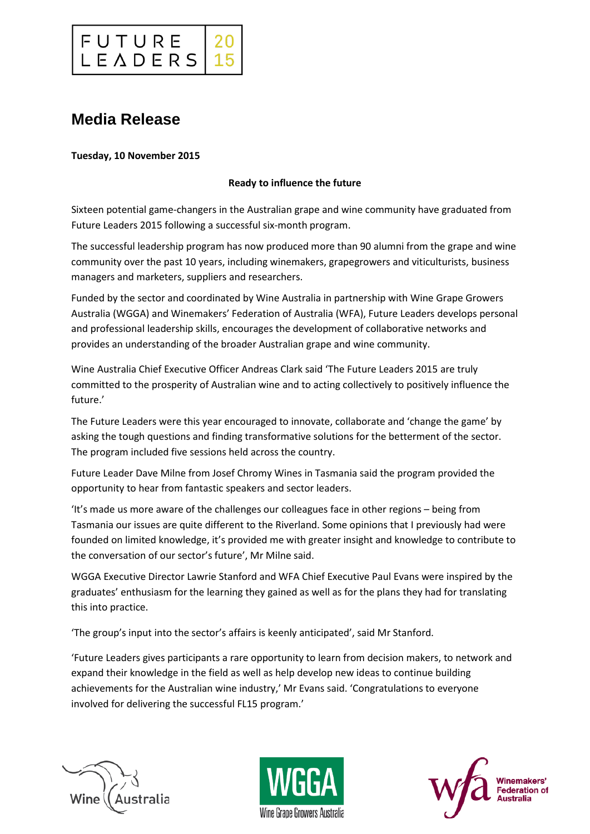

# **Media Release**

#### **Tuesday, 10 November 2015**

### **Ready to influence the future**

Sixteen potential game-changers in the Australian grape and wine community have graduated from Future Leaders 2015 following a successful six-month program.

The successful leadership program has now produced more than 90 alumni from the grape and wine community over the past 10 years, including winemakers, grapegrowers and viticulturists, business managers and marketers, suppliers and researchers.

Funded by the sector and coordinated by Wine Australia in partnership with Wine Grape Growers Australia (WGGA) and Winemakers' Federation of Australia (WFA), Future Leaders develops personal and professional leadership skills, encourages the development of collaborative networks and provides an understanding of the broader Australian grape and wine community.

Wine Australia Chief Executive Officer Andreas Clark said 'The Future Leaders 2015 are truly committed to the prosperity of Australian wine and to acting collectively to positively influence the future.'

The Future Leaders were this year encouraged to innovate, collaborate and 'change the game' by asking the tough questions and finding transformative solutions for the betterment of the sector. The program included five sessions held across the country.

Future Leader Dave Milne from Josef Chromy Wines in Tasmania said the program provided the opportunity to hear from fantastic speakers and sector leaders.

'It's made us more aware of the challenges our colleagues face in other regions – being from Tasmania our issues are quite different to the Riverland. Some opinions that I previously had were founded on limited knowledge, it's provided me with greater insight and knowledge to contribute to the conversation of our sector's future', Mr Milne said.

WGGA Executive Director Lawrie Stanford and WFA Chief Executive Paul Evans were inspired by the graduates' enthusiasm for the learning they gained as well as for the plans they had for translating this into practice.

'The group's input into the sector's affairs is keenly anticipated', said Mr Stanford.

'Future Leaders gives participants a rare opportunity to learn from decision makers, to network and expand their knowledge in the field as well as help develop new ideas to continue building achievements for the Australian wine industry,' Mr Evans said. 'Congratulations to everyone involved for delivering the successful FL15 program.'